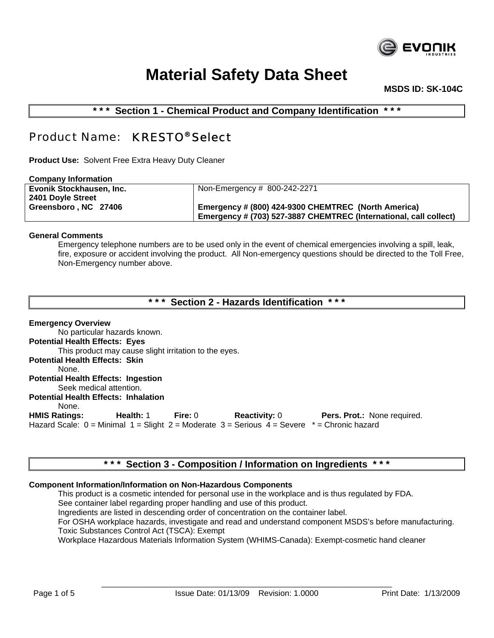

 **MSDS ID: SK-104C**

**\* \* \* Section 1 - Chemical Product and Company Identification \* \* \*** 

# Product Name: KRESTO® Select

**Product Use:** Solvent Free Extra Heavy Duty Cleaner

| <b>Company Information</b> |                                                                   |
|----------------------------|-------------------------------------------------------------------|
| Evonik Stockhausen, Inc.   | Non-Emergency # 800-242-2271                                      |
| 2401 Doyle Street          |                                                                   |
| Greensboro NC 27406        | Emergency # (800) 424-9300 CHEMTREC (North America)               |
|                            | Emergency # (703) 527-3887 CHEMTREC (International, call collect) |
|                            |                                                                   |

#### **General Comments**

Emergency telephone numbers are to be used only in the event of chemical emergencies involving a spill, leak, fire, exposure or accident involving the product. All Non-emergency questions should be directed to the Toll Free, Non-Emergency number above.

|  |  |  |  | *** Section 2 - Hazards Identification *** |  |  |  |
|--|--|--|--|--------------------------------------------|--|--|--|
|--|--|--|--|--------------------------------------------|--|--|--|

**Emergency Overview** No particular hazards known. **Potential Health Effects: Eyes** This product may cause slight irritation to the eyes. **Potential Health Effects: Skin** None. **Potential Health Effects: Ingestion** Seek medical attention. **Potential Health Effects: Inhalation** None. **HMIS Ratings: Health:** 1 **Fire:** 0 **Reactivity:** 0 **Pers. Prot.:** None required. Hazard Scale:  $0 =$  Minimal  $1 =$  Slight  $2 =$  Moderate  $3 =$  Serious  $4 =$  Severe  $* =$  Chronic hazard

### **\* \* \* Section 3 - Composition / Information on Ingredients \* \* \***

#### **Component Information/Information on Non-Hazardous Components**

This product is a cosmetic intended for personal use in the workplace and is thus regulated by FDA. See container label regarding proper handling and use of this product. Ingredients are listed in descending order of concentration on the container label. For OSHA workplace hazards, investigate and read and understand component MSDS's before manufacturing. Toxic Substances Control Act (TSCA): Exempt Workplace Hazardous Materials Information System (WHIMS-Canada): Exempt-cosmetic hand cleaner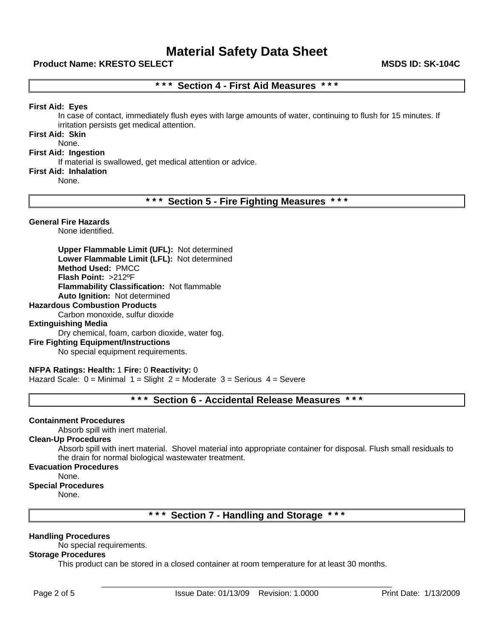#### **Product Name: KRESTO SELECT MSDS ID: SK-104C**

### **\* \* \* Section 4 - First Aid Measures \* \* \***

#### **First Aid: Eyes**

In case of contact, immediately flush eyes with large amounts of water, continuing to flush for 15 minutes. If irritation persists get medical attention.

### **First Aid: Skin**

## None.

### **First Aid: Ingestion**

If material is swallowed, get medical attention or advice.

#### **First Aid: Inhalation**

None.

**\* \* \* Section 5 - Fire Fighting Measures \* \* \*** 

#### **General Fire Hazards**

None identified.

**Upper Flammable Limit (UFL):** Not determined **Lower Flammable Limit (LFL):** Not determined **Method Used:** PMCC **Flash Point:** >212ºF **Flammability Classification:** Not flammable **Auto Ignition:** Not determined

#### **Hazardous Combustion Products**

Carbon monoxide, sulfur dioxide

#### **Extinguishing Media**

Dry chemical, foam, carbon dioxide, water fog.

#### **Fire Fighting Equipment/Instructions**

No special equipment requirements.

### **NFPA Ratings: Health:** 1 **Fire:** 0 **Reactivity:** 0

Hazard Scale:  $0 =$  Minimal  $1 =$  Slight  $2 =$  Moderate  $3 =$  Serious  $4 =$  Severe

### **\* \* \* Section 6 - Accidental Release Measures \* \* \***

#### **Containment Procedures**

Absorb spill with inert material.

#### **Clean-Up Procedures**

Absorb spill with inert material. Shovel material into appropriate container for disposal. Flush small residuals to the drain for normal biological wastewater treatment.

#### **Evacuation Procedures**

None.

#### **Special Procedures**

None.

**\* \* \* Section 7 - Handling and Storage \* \* \*** 

#### **Handling Procedures**

No special requirements.

#### **Storage Procedures**

This product can be stored in a closed container at room temperature for at least 30 months.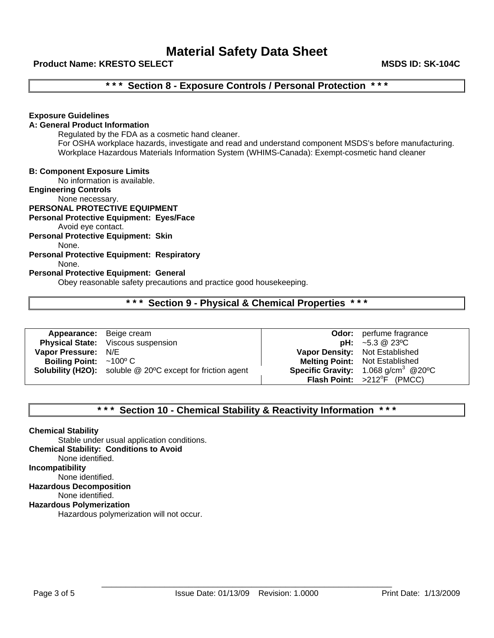#### **Product Name: KRESTO SELECT MSDS ID: SK-104C**

## **\* \* \* Section 8 - Exposure Controls / Personal Protection \* \* \***

#### **Exposure Guidelines**

#### **A: General Product Information**

Regulated by the FDA as a cosmetic hand cleaner. For OSHA workplace hazards, investigate and read and understand component MSDS's before manufacturing. Workplace Hazardous Materials Information System (WHIMS-Canada): Exempt-cosmetic hand cleaner

#### **B: Component Exposure Limits**

No information is available.

**Engineering Controls**

None necessary.

### **PERSONAL PROTECTIVE EQUIPMENT**

#### **Personal Protective Equipment: Eyes/Face**

Avoid eye contact.

**Personal Protective Equipment: Skin** None.

### **Personal Protective Equipment: Respiratory**

#### None.

#### **Personal Protective Equipment: General**

Obey reasonable safety precautions and practice good housekeeping.

### **\* \* \* Section 9 - Physical & Chemical Properties \* \* \***

| <b>Appearance:</b> Beige cream      |                                                                   |                                | <b>Odor:</b> perfume fragrance                             |
|-------------------------------------|-------------------------------------------------------------------|--------------------------------|------------------------------------------------------------|
|                                     | <b>Physical State:</b> Viscous suspension                         |                                | <b>pH:</b> $\sim$ 5.3 @ 23 °C                              |
| Vapor Pressure: N/E                 |                                                                   | Vapor Density: Not Established |                                                            |
| Boiling Point: $\sim 100^{\circ}$ C |                                                                   |                                | <b>Melting Point: Not Established</b>                      |
|                                     | <b>Solubility (H2O):</b> soluble @ 20°C except for friction agent |                                | <b>Specific Gravity:</b> $1.068$ g/cm <sup>3</sup> @ 20 °C |
|                                     |                                                                   |                                | <b>Flash Point:</b> $>212^{\circ}F$ (PMCC)                 |

### **\* \* \* Section 10 - Chemical Stability & Reactivity Information \* \* \***

**Chemical Stability** Stable under usual application conditions. **Chemical Stability: Conditions to Avoid** None identified. **Incompatibility** None identified. **Hazardous Decomposition** None identified. **Hazardous Polymerization**

Hazardous polymerization will not occur.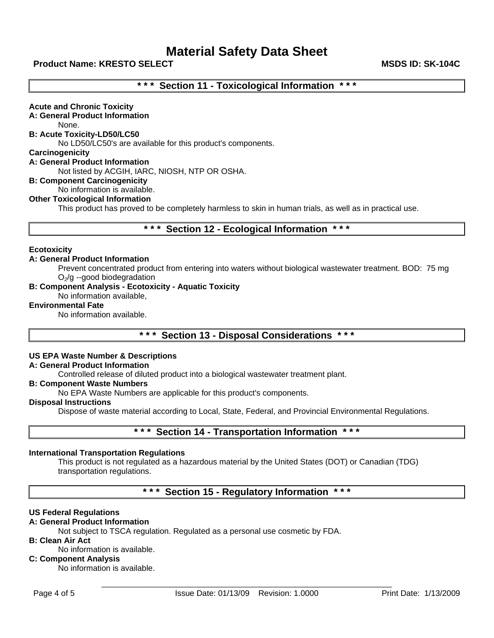#### **Product Name: KRESTO SELECT MSDS ID: SK-104C**

### **\* \* \* Section 11 - Toxicological Information \* \* \***

**Acute and Chronic Toxicity A: General Product Information** None. **B: Acute Toxicity-LD50/LC50**  No LD50/LC50's are available for this product's components. **Carcinogenicity A: General Product Information** Not listed by ACGIH, IARC, NIOSH, NTP OR OSHA. **B: Component Carcinogenicity**  No information is available. **Other Toxicological Information**

This product has proved to be completely harmless to skin in human trials, as well as in practical use.

**\* \* \* Section 12 - Ecological Information \* \* \*** 

#### **Ecotoxicity**

#### **A: General Product Information**

Prevent concentrated product from entering into waters without biological wastewater treatment. BOD: 75 mg  $O<sub>2</sub>/g$  --good biodegradation

#### **B: Component Analysis - Ecotoxicity - Aquatic Toxicity**

No information available,

#### **Environmental Fate**

No information available.

**\* \* \* Section 13 - Disposal Considerations \* \* \*** 

#### **US EPA Waste Number & Descriptions**

#### **A: General Product Information**

Controlled release of diluted product into a biological wastewater treatment plant.

#### **B: Component Waste Numbers**

No EPA Waste Numbers are applicable for this product's components.

#### **Disposal Instructions**

Dispose of waste material according to Local, State, Federal, and Provincial Environmental Regulations.

### **\* \* \* Section 14 - Transportation Information \* \* \***

#### **International Transportation Regulations**

This product is not regulated as a hazardous material by the United States (DOT) or Canadian (TDG) transportation regulations.

**\* \* \* Section 15 - Regulatory Information \* \* \*** 

#### **US Federal Regulations**

#### **A: General Product Information**

Not subject to TSCA regulation. Regulated as a personal use cosmetic by FDA.

#### **B: Clean Air Act**

No information is available.

#### **C: Component Analysis**

No information is available.